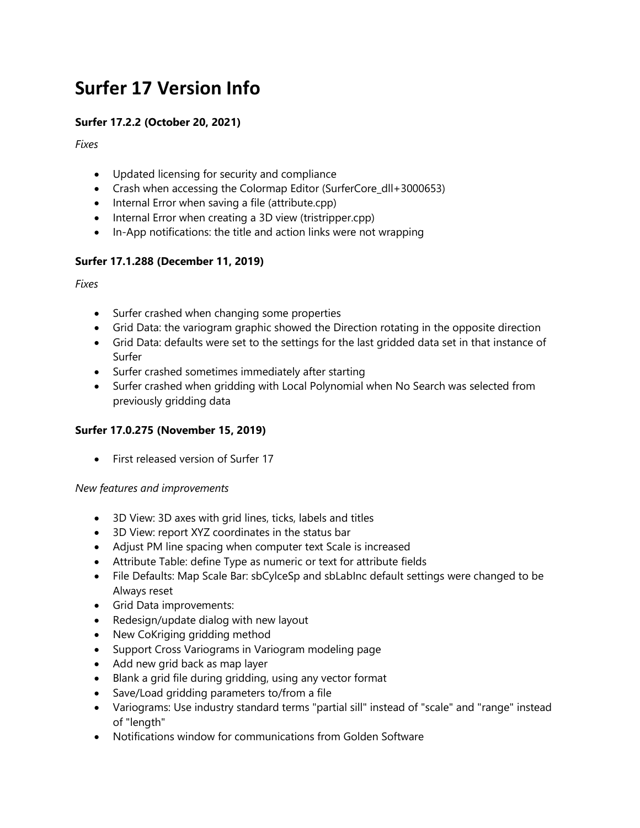# **Surfer 17 Version Info**

## **Surfer 17.2.2 (October 20, 2021)**

*Fixes*

- Updated licensing for security and compliance
- Crash when accessing the Colormap Editor (SurferCore\_dll+3000653)
- Internal Error when saving a file (attribute.cpp)
- Internal Error when creating a 3D view (tristripper.cpp)
- In-App notifications: the title and action links were not wrapping

### **Surfer 17.1.288 (December 11, 2019)**

*Fixes*

- Surfer crashed when changing some properties
- Grid Data: the variogram graphic showed the Direction rotating in the opposite direction
- Grid Data: defaults were set to the settings for the last gridded data set in that instance of Surfer
- Surfer crashed sometimes immediately after starting
- Surfer crashed when gridding with Local Polynomial when No Search was selected from previously gridding data

#### **Surfer 17.0.275 (November 15, 2019)**

• First released version of Surfer 17

#### *New features and improvements*

- 3D View: 3D axes with grid lines, ticks, labels and titles
- 3D View: report XYZ coordinates in the status bar
- Adjust PM line spacing when computer text Scale is increased
- Attribute Table: define Type as numeric or text for attribute fields
- File Defaults: Map Scale Bar: sbCylceSp and sbLabInc default settings were changed to be Always reset
- Grid Data improvements:
- Redesign/update dialog with new layout
- New CoKriging gridding method
- Support Cross Variograms in Variogram modeling page
- Add new grid back as map layer
- Blank a grid file during gridding, using any vector format
- Save/Load gridding parameters to/from a file
- Variograms: Use industry standard terms "partial sill" instead of "scale" and "range" instead of "length"
- Notifications window for communications from Golden Software